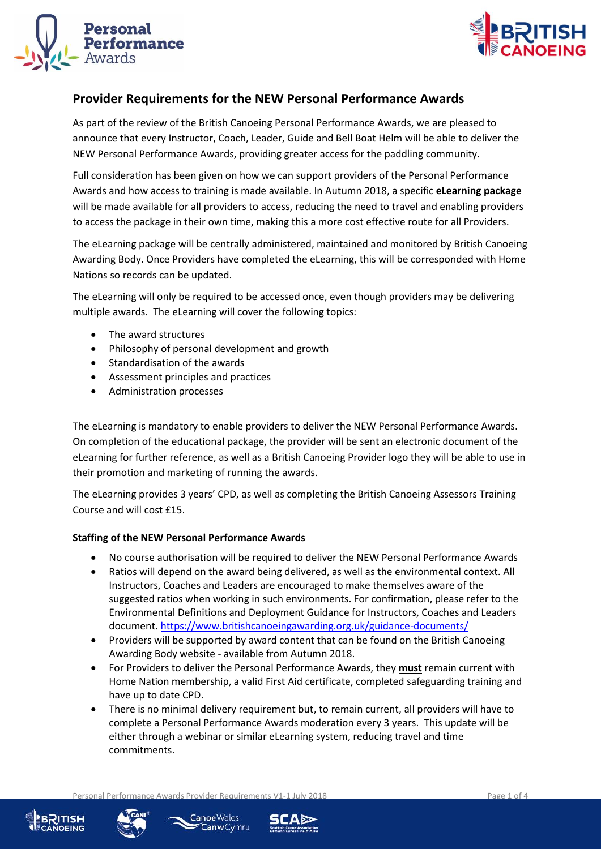



## **Provider Requirements for the NEW Personal Performance Awards**

As part of the review of the British Canoeing Personal Performance Awards, we are pleased to announce that every Instructor, Coach, Leader, Guide and Bell Boat Helm will be able to deliver the NEW Personal Performance Awards, providing greater access for the paddling community.

Full consideration has been given on how we can support providers of the Personal Performance Awards and how access to training is made available. In Autumn 2018, a specific **eLearning package** will be made available for all providers to access, reducing the need to travel and enabling providers to access the package in their own time, making this a more cost effective route for all Providers.

The eLearning package will be centrally administered, maintained and monitored by British Canoeing Awarding Body. Once Providers have completed the eLearning, this will be corresponded with Home Nations so records can be updated.

The eLearning will only be required to be accessed once, even though providers may be delivering multiple awards. The eLearning will cover the following topics:

- The award structures
- Philosophy of personal development and growth
- Standardisation of the awards
- Assessment principles and practices
- Administration processes

The eLearning is mandatory to enable providers to deliver the NEW Personal Performance Awards. On completion of the educational package, the provider will be sent an electronic document of the eLearning for further reference, as well as a British Canoeing Provider logo they will be able to use in their promotion and marketing of running the awards.

The eLearning provides 3 years' CPD, as well as completing the British Canoeing Assessors Training Course and will cost £15.

## **Staffing of the NEW Personal Performance Awards**

- No course authorisation will be required to deliver the NEW Personal Performance Awards
- Ratios will depend on the award being delivered, as well as the environmental context. All Instructors, Coaches and Leaders are encouraged to make themselves aware of the suggested ratios when working in such environments. For confirmation, please refer to the Environmental Definitions and Deployment Guidance for Instructors, Coaches and Leaders document. <https://www.britishcanoeingawarding.org.uk/guidance-documents/>
- Providers will be supported by award content that can be found on the British Canoeing Awarding Body website - available from Autumn 2018.
- For Providers to deliver the Personal Performance Awards, they **must** remain current with Home Nation membership, a valid First Aid certificate, completed safeguarding training and have up to date CPD.
- There is no minimal delivery requirement but, to remain current, all providers will have to complete a Personal Performance Awards moderation every 3 years. This update will be either through a webinar or similar eLearning system, reducing travel and time commitments.

Personal Performance Awards Provider Requirements V1-1 July 2018 Page 1 of 4







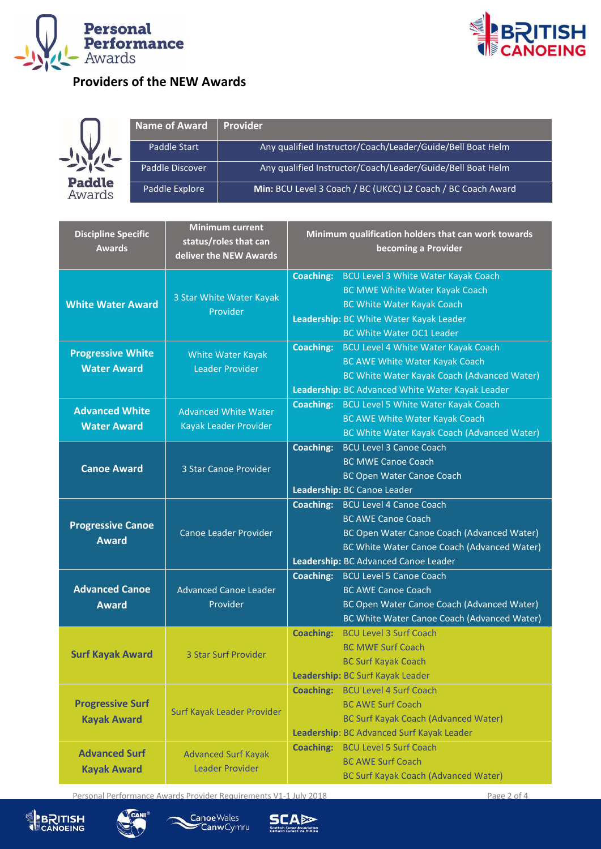



## **Providers of the NEW Awards**



| Name of Award   | <b>Provider</b>                                              |
|-----------------|--------------------------------------------------------------|
| Paddle Start    | Any qualified Instructor/Coach/Leader/Guide/Bell Boat Helm   |
| Paddle Discover | Any qualified Instructor/Coach/Leader/Guide/Bell Boat Helm   |
| Paddle Explore  | Min: BCU Level 3 Coach / BC (UKCC) L2 Coach / BC Coach Award |

| <b>Discipline Specific</b><br><b>Awards</b>    | <b>Minimum current</b><br>status/roles that can<br>deliver the NEW Awards | Minimum qualification holders that can work towards<br>becoming a Provider                                                                                                                                                  |  |
|------------------------------------------------|---------------------------------------------------------------------------|-----------------------------------------------------------------------------------------------------------------------------------------------------------------------------------------------------------------------------|--|
| <b>White Water Award</b>                       | 3 Star White Water Kayak<br>Provider                                      | <b>Coaching:</b><br>BCU Level 3 White Water Kayak Coach<br><b>BC MWE White Water Kayak Coach</b><br><b>BC White Water Kayak Coach</b><br>Leadership: BC White Water Kayak Leader<br><b>BC White Water OC1 Leader</b>        |  |
| <b>Progressive White</b><br><b>Water Award</b> | White Water Kayak<br><b>Leader Provider</b>                               | <b>Coaching:</b><br><b>BCU Level 4 White Water Kayak Coach</b><br>BC AWE White Water Kayak Coach<br>BC White Water Kayak Coach (Advanced Water)<br>Leadership: BC Advanced White Water Kayak Leader                         |  |
| <b>Advanced White</b><br><b>Water Award</b>    | <b>Coaching:</b><br><b>Advanced White Water</b><br>Kayak Leader Provider  | BCU Level 5 White Water Kayak Coach<br>BC AWE White Water Kayak Coach<br>BC White Water Kayak Coach (Advanced Water)                                                                                                        |  |
| <b>Canoe Award</b>                             | 3 Star Canoe Provider                                                     | <b>BCU Level 3 Canoe Coach</b><br><b>Coaching:</b><br><b>BC MWE Canoe Coach</b><br><b>BC Open Water Canoe Coach</b><br>Leadership: BC Canoe Leader                                                                          |  |
| <b>Progressive Canoe</b><br><b>Award</b>       | Canoe Leader Provider                                                     | <b>Coaching:</b><br><b>BCU Level 4 Canoe Coach</b><br><b>BC AWE Canoe Coach</b><br>BC Open Water Canoe Coach (Advanced Water)<br><b>BC White Water Canoe Coach (Advanced Water)</b><br>Leadership: BC Advanced Canoe Leader |  |
| <b>Advanced Canoe</b><br><b>Award</b>          | <b>Advanced Canoe Leader</b><br>Provider                                  | <b>Coaching:</b><br><b>BCU Level 5 Canoe Coach</b><br><b>BC AWE Canoe Coach</b><br>BC Open Water Canoe Coach (Advanced Water)<br>BC White Water Canoe Coach (Advanced Water)                                                |  |
| <b>Surf Kayak Award</b>                        | 3 Star Surf Provider                                                      | <b>BCU Level 3 Surf Coach</b><br><b>Coaching:</b><br><b>BC MWE Surf Coach</b><br><b>BC Surf Kayak Coach</b><br>Leadership: BC Surf Kayak Leader                                                                             |  |
| <b>Progressive Surf</b><br><b>Kayak Award</b>  | Surf Kayak Leader Provider                                                | <b>Coaching:</b><br><b>BCU Level 4 Surf Coach</b><br><b>BC AWE Surf Coach</b><br><b>BC Surf Kayak Coach (Advanced Water)</b><br>Leadership: BC Advanced Surf Kayak Leader                                                   |  |
| <b>Advanced Surf</b><br><b>Kayak Award</b>     | <b>Advanced Surf Kayak</b><br>Leader Provider                             | <b>BCU Level 5 Surf Coach</b><br><b>Coaching:</b><br><b>BC AWE Surf Coach</b><br><b>BC Surf Kayak Coach (Advanced Water)</b>                                                                                                |  |

Personal Performance Awards Provider Requirements V1-1 July 2018 Page 2 of 4







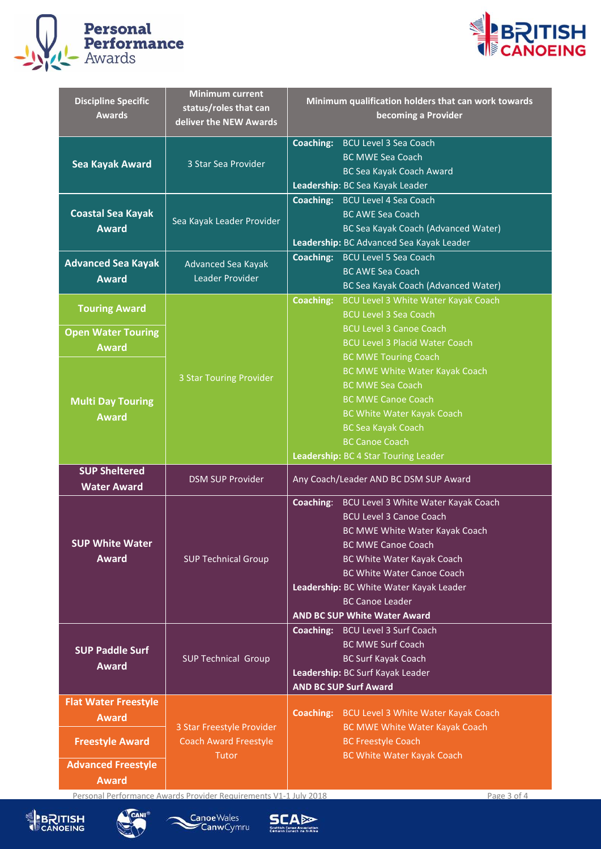



| <b>Discipline Specific</b><br><b>Awards</b>                       | <b>Minimum current</b><br>status/roles that can<br>deliver the NEW Awards | Minimum qualification holders that can work towards<br>becoming a Provider                                                                                                                                                                                                                                                    |  |
|-------------------------------------------------------------------|---------------------------------------------------------------------------|-------------------------------------------------------------------------------------------------------------------------------------------------------------------------------------------------------------------------------------------------------------------------------------------------------------------------------|--|
| <b>Sea Kayak Award</b>                                            | 3 Star Sea Provider                                                       | <b>Coaching:</b> BCU Level 3 Sea Coach<br><b>BC MWE Sea Coach</b><br>BC Sea Kayak Coach Award<br>Leadership: BC Sea Kayak Leader                                                                                                                                                                                              |  |
| <b>Coastal Sea Kayak</b><br><b>Award</b>                          | Sea Kayak Leader Provider                                                 | <b>Coaching:</b> BCU Level 4 Sea Coach<br><b>BC AWE Sea Coach</b><br>BC Sea Kayak Coach (Advanced Water)<br>Leadership: BC Advanced Sea Kayak Leader                                                                                                                                                                          |  |
| <b>Advanced Sea Kayak</b><br><b>Award</b>                         | Advanced Sea Kayak<br>Leader Provider                                     | Coaching:<br><b>BCU Level 5 Sea Coach</b><br><b>BC AWE Sea Coach</b><br>BC Sea Kayak Coach (Advanced Water)                                                                                                                                                                                                                   |  |
| <b>Touring Award</b><br><b>Open Water Touring</b><br><b>Award</b> | 3 Star Touring Provider                                                   | <b>BCU Level 3 White Water Kayak Coach</b><br><b>Coaching:</b><br><b>BCU Level 3 Sea Coach</b><br><b>BCU Level 3 Canoe Coach</b><br><b>BCU Level 3 Placid Water Coach</b><br><b>BC MWE Touring Coach</b>                                                                                                                      |  |
| <b>Multi Day Touring</b><br><b>Award</b>                          |                                                                           | BC MWE White Water Kayak Coach<br><b>BC MWE Sea Coach</b><br><b>BC MWE Canoe Coach</b><br>BC White Water Kayak Coach<br><b>BC Sea Kayak Coach</b><br><b>BC Canoe Coach</b>                                                                                                                                                    |  |
|                                                                   |                                                                           | Leadership: BC 4 Star Touring Leader<br>Any Coach/Leader AND BC DSM SUP Award                                                                                                                                                                                                                                                 |  |
| <b>SUP Sheltered</b><br><b>Water Award</b>                        | <b>DSM SUP Provider</b>                                                   |                                                                                                                                                                                                                                                                                                                               |  |
| <b>SUP White Water</b><br><b>Award</b>                            | <b>SUP Technical Group</b>                                                | Coaching: BCU Level 3 White Water Kayak Coach<br><b>BCU Level 3 Canoe Coach</b><br>BC MWE White Water Kayak Coach<br><b>BC MWE Canoe Coach</b><br>BC White Water Kayak Coach<br><b>BC White Water Canoe Coach</b><br>Leadership: BC White Water Kayak Leader<br><b>BC Canoe Leader</b><br><b>AND BC SUP White Water Award</b> |  |
| <b>SUP Paddle Surf</b><br><b>Award</b>                            | <b>SUP Technical Group</b>                                                | <b>Coaching:</b> BCU Level 3 Surf Coach<br><b>BC MWE Surf Coach</b><br><b>BC Surf Kayak Coach</b><br>Leadership: BC Surf Kayak Leader<br><b>AND BC SUP Surf Award</b>                                                                                                                                                         |  |

Personal Performance Awards Provider Requirements V1-1 July 2018